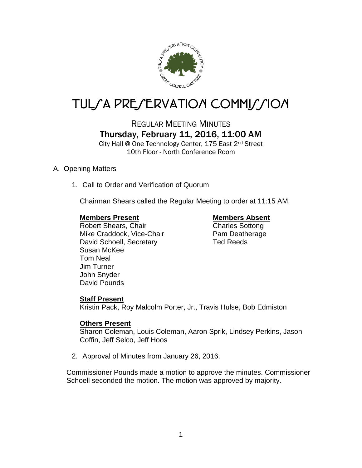

# TUL/A PRE/ERVATION COMMI*J*/ION

REGULAR MEETING MINUTES Thursday, February 11, 2016, 11:00 AM

City Hall @ One Technology Center, 175 East 2nd Street 10th Floor - North Conference Room

# A. Opening Matters

1. Call to Order and Verification of Quorum

Chairman Shears called the Regular Meeting to order at 11:15 AM.

# **Members Present Members Absent**

Robert Shears, Chair Charles Sottong Mike Craddock, Vice-Chair Pam Deatherage David Schoell, Secretary Ted Reeds Susan McKee Tom Neal Jim Turner John Snyder David Pounds

# **Staff Present**

Kristin Pack, Roy Malcolm Porter, Jr., Travis Hulse, Bob Edmiston

# **Others Present**

Sharon Coleman, Louis Coleman, Aaron Sprik, Lindsey Perkins, Jason Coffin, Jeff Selco, Jeff Hoos

2. Approval of Minutes from January 26, 2016.

Commissioner Pounds made a motion to approve the minutes. Commissioner Schoell seconded the motion. The motion was approved by majority.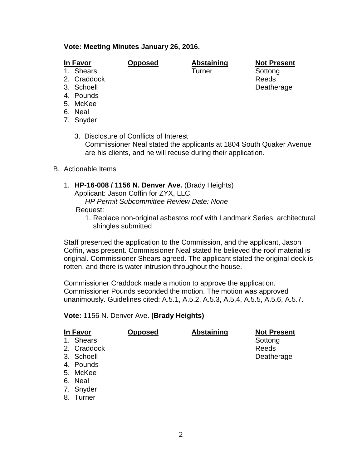## **Vote: Meeting Minutes January 26, 2016.**

# **In Favor Opposed Abstaining Not Present**

Deatherage

1. Shears **Turner** Sottong

- 2. Craddock Reeds<br>
2. Schoell Books Reeds<br>
2. Schoell Books Reeds
- 
- 4. Pounds
- 5. McKee
- 6. Neal
- 7. Snyder

3. Disclosure of Conflicts of Interest Commissioner Neal stated the applicants at 1804 South Quaker Avenue are his clients, and he will recuse during their application.

- B. Actionable Items
	- 1. **HP-16-008 / 1156 N. Denver Ave.** (Brady Heights) Applicant: Jason Coffin for ZYX, LLC.

*HP Permit Subcommittee Review Date: None*

Request:

1. Replace non-original asbestos roof with Landmark Series, architectural shingles submitted

Staff presented the application to the Commission, and the applicant, Jason Coffin, was present. Commissioner Neal stated he believed the roof material is original. Commissioner Shears agreed. The applicant stated the original deck is rotten, and there is water intrusion throughout the house.

Commissioner Craddock made a motion to approve the application. Commissioner Pounds seconded the motion. The motion was approved unanimously. Guidelines cited: A.5.1, A.5.2, A.5.3, A.5.4, A.5.5, A.5.6, A.5.7.

### **Vote:** 1156 N. Denver Ave. **(Brady Heights)**

| In Favor |             | <b>Opposed</b> | <b>Abstaining</b> | <b>Not Present</b> |
|----------|-------------|----------------|-------------------|--------------------|
|          | 1. Shears   |                |                   | Sottong            |
|          | 2. Craddock |                |                   | Reeds              |
|          | 3. Schoell  |                |                   | Deatherage         |
|          | 4. Pounds   |                |                   |                    |
|          | 5. McKee    |                |                   |                    |
|          | 6. Neal     |                |                   |                    |

- 7. Snyder
- 8. Turner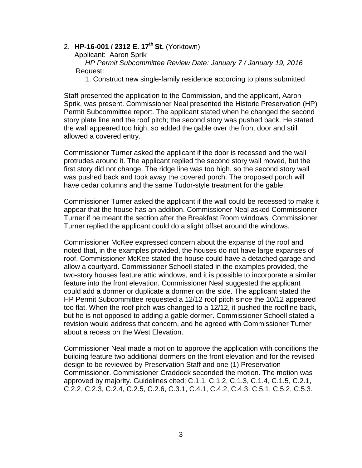# 2. **HP-16-001 / 2312 E. 17th St.** (Yorktown)

Applicant: Aaron Sprik

 *HP Permit Subcommittee Review Date: January 7 / January 19, 2016* Request:

1. Construct new single-family residence according to plans submitted

Staff presented the application to the Commission, and the applicant, Aaron Sprik, was present. Commissioner Neal presented the Historic Preservation (HP) Permit Subcommittee report. The applicant stated when he changed the second story plate line and the roof pitch; the second story was pushed back. He stated the wall appeared too high, so added the gable over the front door and still allowed a covered entry.

Commissioner Turner asked the applicant if the door is recessed and the wall protrudes around it. The applicant replied the second story wall moved, but the first story did not change. The ridge line was too high, so the second story wall was pushed back and took away the covered porch. The proposed porch will have cedar columns and the same Tudor-style treatment for the gable.

Commissioner Turner asked the applicant if the wall could be recessed to make it appear that the house has an addition. Commissioner Neal asked Commissioner Turner if he meant the section after the Breakfast Room windows. Commissioner Turner replied the applicant could do a slight offset around the windows.

Commissioner McKee expressed concern about the expanse of the roof and noted that, in the examples provided, the houses do not have large expanses of roof. Commissioner McKee stated the house could have a detached garage and allow a courtyard. Commissioner Schoell stated in the examples provided, the two-story houses feature attic windows, and it is possible to incorporate a similar feature into the front elevation. Commissioner Neal suggested the applicant could add a dormer or duplicate a dormer on the side. The applicant stated the HP Permit Subcommittee requested a 12/12 roof pitch since the 10/12 appeared too flat. When the roof pitch was changed to a 12/12, it pushed the roofline back, but he is not opposed to adding a gable dormer. Commissioner Schoell stated a revision would address that concern, and he agreed with Commissioner Turner about a recess on the West Elevation.

Commissioner Neal made a motion to approve the application with conditions the building feature two additional dormers on the front elevation and for the revised design to be reviewed by Preservation Staff and one (1) Preservation Commissioner. Commissioner Craddock seconded the motion. The motion was approved by majority. Guidelines cited: C.1.1, C.1.2, C.1.3, C.1.4, C.1.5, C.2.1, C.2.2, C.2.3, C.2.4, C.2.5, C.2.6, C.3.1, C.4.1, C.4.2, C.4.3, C.5.1, C.5.2, C.5.3.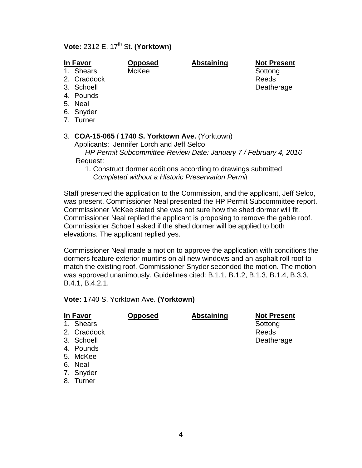# **Vote:** 2312 E. 17th St. **(Yorktown)**

1. Shears McKee Sottong

**In Favor Opposed Abstaining Not Present**

- 2. Craddock Reeds
- 3. Schoell **Deatherage**
- 4. Pounds
- 5. Neal
- 6. Snyder
- 7. Turner

# 3. **COA-15-065 / 1740 S. Yorktown Ave.** (Yorktown)

Applicants: Jennifer Lorch and Jeff Selco

 *HP Permit Subcommittee Review Date: January 7 / February 4, 2016* Request:

1. Construct dormer additions according to drawings submitted *Completed without a Historic Preservation Permit*

Staff presented the application to the Commission, and the applicant, Jeff Selco, was present. Commissioner Neal presented the HP Permit Subcommittee report. Commissioner McKee stated she was not sure how the shed dormer will fit. Commissioner Neal replied the applicant is proposing to remove the gable roof. Commissioner Schoell asked if the shed dormer will be applied to both elevations. The applicant replied yes.

Commissioner Neal made a motion to approve the application with conditions the dormers feature exterior muntins on all new windows and an asphalt roll roof to match the existing roof. Commissioner Snyder seconded the motion. The motion was approved unanimously. Guidelines cited: B.1.1, B.1.2, B.1.3, B.1.4, B.3.3, B.4.1, B.4.2.1.

|  | Vote: 1740 S. Yorktown Ave. (Yorktown) |  |
|--|----------------------------------------|--|
|--|----------------------------------------|--|

| In Favor      |             | <b>Opposed</b> | <b>Abstaining</b> | <b>Not Present</b> |
|---------------|-------------|----------------|-------------------|--------------------|
|               | 1. Shears   |                |                   | Sottong            |
|               | 2. Craddock |                |                   | Reeds              |
|               | 3. Schoell  |                |                   | Deatherage         |
|               | 4. Pounds   |                |                   |                    |
|               | 5. McKee    |                |                   |                    |
|               | 6. Neal     |                |                   |                    |
|               | 7. Snyder   |                |                   |                    |
| $\sim$ $\sim$ |             |                |                   |                    |

8. Turner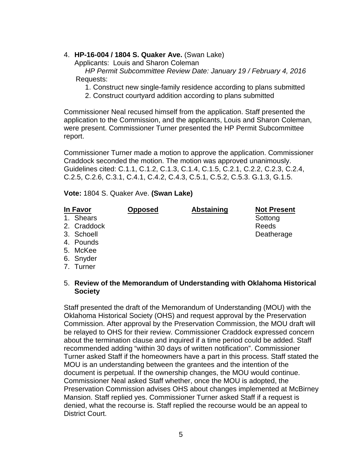# 4. **HP-16-004 / 1804 S. Quaker Ave.** (Swan Lake)

Applicants: Louis and Sharon Coleman

 *HP Permit Subcommittee Review Date: January 19 / February 4, 2016* Requests:

- 1. Construct new single-family residence according to plans submitted
- 2. Construct courtyard addition according to plans submitted

Commissioner Neal recused himself from the application. Staff presented the application to the Commission, and the applicants, Louis and Sharon Coleman, were present. Commissioner Turner presented the HP Permit Subcommittee report.

Commissioner Turner made a motion to approve the application. Commissioner Craddock seconded the motion. The motion was approved unanimously. Guidelines cited: C.1.1, C.1.2, C.1.3, C.1.4, C.1.5, C.2.1, C.2.2, C.2.3, C.2.4, C.2.5, C.2.6, C.3.1, C.4.1, C.4.2, C.4.3, C.5.1, C.5.2, C.5.3. G.1.3, G.1.5.

**Vote:** 1804 S. Quaker Ave. **(Swan Lake)**

# **In Favor Opposed Abstaining Not Present**

- 1. Shears Sottong and Sottong Sottong Sottong Sottong Sottong Sottong Sottong Sottong Sottong Sottong Sottong Sottong Sottong Sottong Sottong Sottong Sottong Sottong Sottong Sottong Sottong Sottong Sottong Sottong Sottong
- 2. Craddock and a series of the Reeds
- 3. Schoell **Deatherage**
- 4. Pounds
- 5. McKee
- 6. Snyder
- 7. Turner
- 5. **Review of the Memorandum of Understanding with Oklahoma Historical Society**

Staff presented the draft of the Memorandum of Understanding (MOU) with the Oklahoma Historical Society (OHS) and request approval by the Preservation Commission. After approval by the Preservation Commission, the MOU draft will be relayed to OHS for their review. Commissioner Craddock expressed concern about the termination clause and inquired if a time period could be added. Staff recommended adding "within 30 days of written notification". Commissioner Turner asked Staff if the homeowners have a part in this process. Staff stated the MOU is an understanding between the grantees and the intention of the document is perpetual. If the ownership changes, the MOU would continue. Commissioner Neal asked Staff whether, once the MOU is adopted, the Preservation Commission advises OHS about changes implemented at McBirney Mansion. Staff replied yes. Commissioner Turner asked Staff if a request is denied, what the recourse is. Staff replied the recourse would be an appeal to District Court.